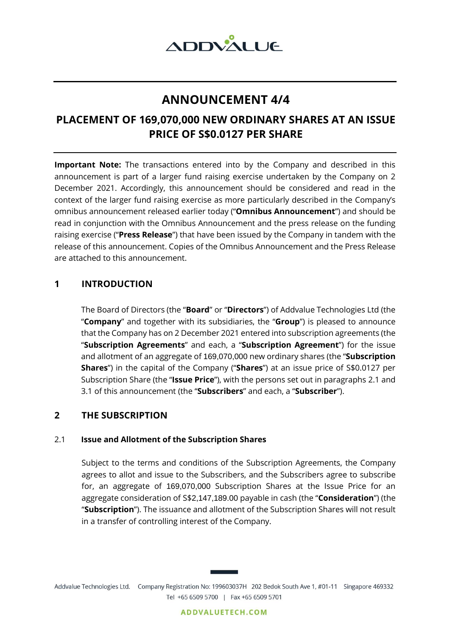

# **ANNOUNCEMENT 4/4**

# **PLACEMENT OF 169,070,000 NEW ORDINARY SHARES AT AN ISSUE PRICE OF S\$0.0127 PER SHARE**

**Important Note:** The transactions entered into by the Company and described in this announcement is part of a larger fund raising exercise undertaken by the Company on 2 December 2021. Accordingly, this announcement should be considered and read in the context of the larger fund raising exercise as more particularly described in the Company's omnibus announcement released earlier today ("**Omnibus Announcement**") and should be read in conjunction with the Omnibus Announcement and the press release on the funding raising exercise ("**Press Release**") that have been issued by the Company in tandem with the release of this announcement. Copies of the Omnibus Announcement and the Press Release are attached to this announcement.

# **1 INTRODUCTION**

The Board of Directors (the "**Board**" or "**Directors**") of Addvalue Technologies Ltd (the "**Company**" and together with its subsidiaries, the "**Group**") is pleased to announce that the Company has on 2 December 2021 entered into subscription agreements (the "**Subscription Agreements**" and each, a "**Subscription Agreement**") for the issue and allotment of an aggregate of 169,070,000 new ordinary shares (the "**Subscription Shares**") in the capital of the Company ("**Shares**") at an issue price of S\$0.0127 per Subscription Share (the "**Issue Price**"), with the persons set out in paragraphs 2.1 and 3.1 of this announcement (the "**Subscribers**" and each, a "**Subscriber**").

# **2 THE SUBSCRIPTION**

## 2.1 **Issue and Allotment of the Subscription Shares**

Subject to the terms and conditions of the Subscription Agreements, the Company agrees to allot and issue to the Subscribers, and the Subscribers agree to subscribe for, an aggregate of 169,070,000 Subscription Shares at the Issue Price for an aggregate consideration of S\$2,147,189.00 payable in cash (the "**Consideration**") (the "**Subscription**"). The issuance and allotment of the Subscription Shares will not result in a transfer of controlling interest of the Company.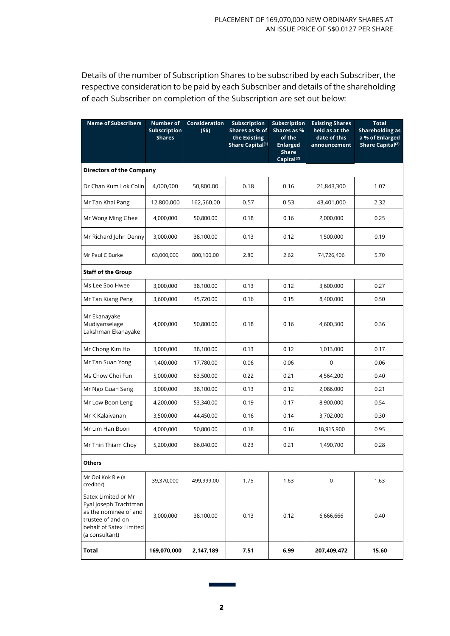Details of the number of Subscription Shares to be subscribed by each Subscriber, the respective consideration to be paid by each Subscriber and details of the shareholding of each Subscriber on completion of the Subscription are set out below:

| <b>Name of Subscribers</b>                                                                                                              | <b>Number of</b><br><b>Subscription</b><br><b>Shares</b> | <b>Consideration</b><br>(S\$) | <b>Subscription</b><br>Shares as % of<br>the Existing<br>Share Capital <sup>(1)</sup> | Subscription<br>Shares as %<br>of the<br><b>Enlarged</b><br><b>Share</b><br>Capital <sup>(2)</sup> | <b>Existing Shares</b><br>held as at the<br>date of this<br>announcement | <b>Total</b><br><b>Shareholding as</b><br>a % of Enlarged<br>Share Capital <sup>(2)</sup> |
|-----------------------------------------------------------------------------------------------------------------------------------------|----------------------------------------------------------|-------------------------------|---------------------------------------------------------------------------------------|----------------------------------------------------------------------------------------------------|--------------------------------------------------------------------------|-------------------------------------------------------------------------------------------|
| <b>Directors of the Company</b>                                                                                                         |                                                          |                               |                                                                                       |                                                                                                    |                                                                          |                                                                                           |
| Dr Chan Kum Lok Colin                                                                                                                   | 4,000,000                                                | 50,800.00                     | 0.18                                                                                  | 0.16                                                                                               | 21,843,300                                                               | 1.07                                                                                      |
| Mr Tan Khai Pang                                                                                                                        | 12,800,000                                               | 162,560.00                    | 0.57                                                                                  | 0.53                                                                                               | 43,401,000                                                               | 2.32                                                                                      |
| Mr Wong Ming Ghee                                                                                                                       | 4,000,000                                                | 50,800.00                     | 0.18                                                                                  | 0.16                                                                                               | 2,000,000                                                                | 0.25                                                                                      |
| Mr Richard John Denny                                                                                                                   | 3,000,000                                                | 38,100.00                     | 0.13                                                                                  | 0.12                                                                                               | 1,500,000                                                                | 0.19                                                                                      |
| Mr Paul C Burke                                                                                                                         | 63,000,000                                               | 800,100.00                    | 2.80                                                                                  | 2.62                                                                                               | 74,726,406                                                               | 5.70                                                                                      |
| <b>Staff of the Group</b>                                                                                                               |                                                          |                               |                                                                                       |                                                                                                    |                                                                          |                                                                                           |
| Ms Lee Soo Hwee                                                                                                                         | 3,000,000                                                | 38,100.00                     | 0.13                                                                                  | 0.12                                                                                               | 3,600,000                                                                | 0.27                                                                                      |
| Mr Tan Kiang Peng                                                                                                                       | 3,600,000                                                | 45,720.00                     | 0.16                                                                                  | 0.15                                                                                               | 8,400,000                                                                | 0.50                                                                                      |
| Mr Ekanayake<br>Mudiyanselage<br>Lakshman Ekanayake                                                                                     | 4,000,000                                                | 50,800.00                     | 0.18                                                                                  | 0.16                                                                                               | 4,600,300                                                                | 0.36                                                                                      |
| Mr Chong Kim Ho                                                                                                                         | 3,000,000                                                | 38,100.00                     | 0.13                                                                                  | 0.12                                                                                               | 1,013,000                                                                | 0.17                                                                                      |
| Mr Tan Suan Yong                                                                                                                        | 1,400,000                                                | 17,780.00                     | 0.06                                                                                  | 0.06                                                                                               | 0                                                                        | 0.06                                                                                      |
| Ms Chow Choi Fun                                                                                                                        | 5,000,000                                                | 63,500.00                     | 0.22                                                                                  | 0.21                                                                                               | 4,564,200                                                                | 0.40                                                                                      |
| Mr Ngo Guan Seng                                                                                                                        | 3,000,000                                                | 38,100.00                     | 0.13                                                                                  | 0.12                                                                                               | 2,086,000                                                                | 0.21                                                                                      |
| Mr Low Boon Leng                                                                                                                        | 4,200,000                                                | 53,340.00                     | 0.19                                                                                  | 0.17                                                                                               | 8,900,000                                                                | 0.54                                                                                      |
| Mr K Kalaivanan                                                                                                                         | 3,500,000                                                | 44,450.00                     | 0.16                                                                                  | 0.14                                                                                               | 3,702,000                                                                | 0.30                                                                                      |
| Mr Lim Han Boon                                                                                                                         | 4,000,000                                                | 50,800.00                     | 0.18                                                                                  | 0.16                                                                                               | 18,915,900                                                               | 0.95                                                                                      |
| Mr Thin Thiam Choy                                                                                                                      | 5,200,000                                                | 66,040.00                     | 0.23                                                                                  | 0.21                                                                                               | 1,490,700                                                                | 0.28                                                                                      |
| <b>Others</b>                                                                                                                           |                                                          |                               |                                                                                       |                                                                                                    |                                                                          |                                                                                           |
| Mr Ooi Kok Rie (a<br>creditor)                                                                                                          | 39,370,000                                               | 499,999.00                    | 1.75                                                                                  | 1.63                                                                                               | 0                                                                        | 1.63                                                                                      |
| Satex Limited or Mr<br>Eyal Joseph Trachtman<br>as the nominee of and<br>trustee of and on<br>behalf of Satex Limited<br>(a consultant) | 3,000,000                                                | 38,100.00                     | 0.13                                                                                  | 0.12                                                                                               | 6,666,666                                                                | 0.40                                                                                      |
| <b>Total</b>                                                                                                                            | 169,070,000                                              | 2,147,189                     | 7.51                                                                                  | 6.99                                                                                               | 207,409,472                                                              | 15.60                                                                                     |

٦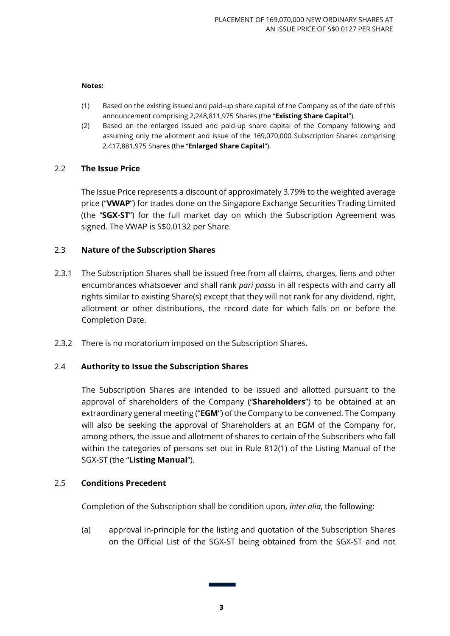#### **Notes:**

- (1) Based on the existing issued and paid-up share capital of the Company as of the date of this announcement comprising 2,248,811,975 Shares (the "**Existing Share Capital**").
- (2) Based on the enlarged issued and paid-up share capital of the Company following and assuming only the allotment and issue of the 169,070,000 Subscription Shares comprising 2,417,881,975 Shares (the "**Enlarged Share Capital**").

## 2.2 **The Issue Price**

The Issue Price represents a discount of approximately 3.79% to the weighted average price ("**VWAP**") for trades done on the Singapore Exchange Securities Trading Limited (the "**SGX-ST**") for the full market day on which the Subscription Agreement was signed. The VWAP is S\$0.0132 per Share.

## 2.3 **Nature of the Subscription Shares**

- 2.3.1 The Subscription Shares shall be issued free from all claims, charges, liens and other encumbrances whatsoever and shall rank *pari passu* in all respects with and carry all rights similar to existing Share(s) except that they will not rank for any dividend, right, allotment or other distributions, the record date for which falls on or before the Completion Date.
- 2.3.2 There is no moratorium imposed on the Subscription Shares.

## 2.4 **Authority to Issue the Subscription Shares**

The Subscription Shares are intended to be issued and allotted pursuant to the approval of shareholders of the Company ("**Shareholders**") to be obtained at an extraordinary general meeting ("**EGM**") of the Company to be convened. The Company will also be seeking the approval of Shareholders at an EGM of the Company for, among others, the issue and allotment of shares to certain of the Subscribers who fall within the categories of persons set out in Rule 812(1) of the Listing Manual of the SGX-ST (the "**Listing Manual**").

#### 2.5 **Conditions Precedent**

Completion of the Subscription shall be condition upon, *inter alia*, the following:

(a) approval in-principle for the listing and quotation of the Subscription Shares on the Official List of the SGX-ST being obtained from the SGX-ST and not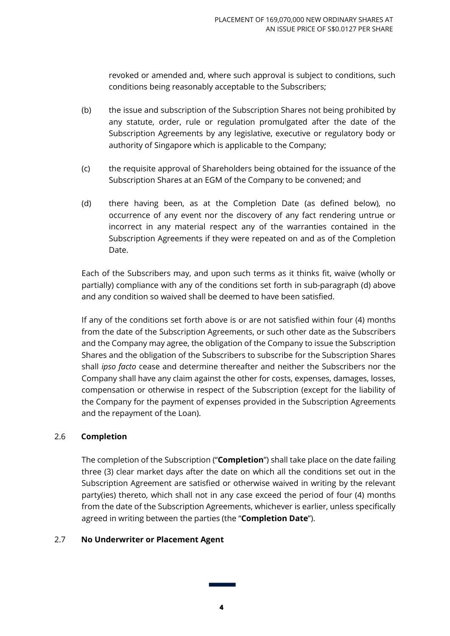revoked or amended and, where such approval is subject to conditions, such conditions being reasonably acceptable to the Subscribers;

- (b) the issue and subscription of the Subscription Shares not being prohibited by any statute, order, rule or regulation promulgated after the date of the Subscription Agreements by any legislative, executive or regulatory body or authority of Singapore which is applicable to the Company;
- (c) the requisite approval of Shareholders being obtained for the issuance of the Subscription Shares at an EGM of the Company to be convened; and
- (d) there having been, as at the Completion Date (as defined below), no occurrence of any event nor the discovery of any fact rendering untrue or incorrect in any material respect any of the warranties contained in the Subscription Agreements if they were repeated on and as of the Completion Date.

Each of the Subscribers may, and upon such terms as it thinks fit, waive (wholly or partially) compliance with any of the conditions set forth in sub-paragraph (d) above and any condition so waived shall be deemed to have been satisfied.

If any of the conditions set forth above is or are not satisfied within four (4) months from the date of the Subscription Agreements, or such other date as the Subscribers and the Company may agree, the obligation of the Company to issue the Subscription Shares and the obligation of the Subscribers to subscribe for the Subscription Shares shall *ipso facto* cease and determine thereafter and neither the Subscribers nor the Company shall have any claim against the other for costs, expenses, damages, losses, compensation or otherwise in respect of the Subscription (except for the liability of the Company for the payment of expenses provided in the Subscription Agreements and the repayment of the Loan).

## 2.6 **Completion**

The completion of the Subscription ("**Completion**") shall take place on the date failing three (3) clear market days after the date on which all the conditions set out in the Subscription Agreement are satisfied or otherwise waived in writing by the relevant party(ies) thereto, which shall not in any case exceed the period of four (4) months from the date of the Subscription Agreements, whichever is earlier, unless specifically agreed in writing between the parties (the "**Completion Date**").

## 2.7 **No Underwriter or Placement Agent**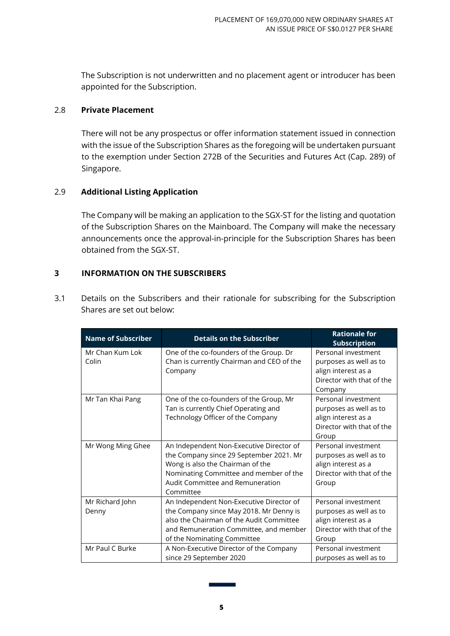The Subscription is not underwritten and no placement agent or introducer has been appointed for the Subscription.

### 2.8 **Private Placement**

There will not be any prospectus or offer information statement issued in connection with the issue of the Subscription Shares as the foregoing will be undertaken pursuant to the exemption under Section 272B of the Securities and Futures Act (Cap. 289) of Singapore.

### 2.9 **Additional Listing Application**

The Company will be making an application to the SGX-ST for the listing and quotation of the Subscription Shares on the Mainboard. The Company will make the necessary announcements once the approval-in-principle for the Subscription Shares has been obtained from the SGX-ST.

### **3 INFORMATION ON THE SUBSCRIBERS**

| <b>Name of Subscriber</b> | <b>Details on the Subscriber</b>                                                                                                                                                                                   | <b>Rationale for</b><br><b>Subscription</b>                                                                  |
|---------------------------|--------------------------------------------------------------------------------------------------------------------------------------------------------------------------------------------------------------------|--------------------------------------------------------------------------------------------------------------|
| Mr Chan Kum Lok<br>Colin  | One of the co-founders of the Group. Dr<br>Chan is currently Chairman and CEO of the<br>Company                                                                                                                    | Personal investment<br>purposes as well as to<br>align interest as a<br>Director with that of the<br>Company |
| Mr Tan Khai Pang          | One of the co-founders of the Group, Mr<br>Tan is currently Chief Operating and<br>Technology Officer of the Company                                                                                               | Personal investment<br>purposes as well as to<br>align interest as a<br>Director with that of the<br>Group   |
| Mr Wong Ming Ghee         | An Independent Non-Executive Director of<br>the Company since 29 September 2021. Mr<br>Wong is also the Chairman of the<br>Nominating Committee and member of the<br>Audit Committee and Remuneration<br>Committee | Personal investment<br>purposes as well as to<br>align interest as a<br>Director with that of the<br>Group   |
| Mr Richard John<br>Denny  | An Independent Non-Executive Director of<br>the Company since May 2018. Mr Denny is<br>also the Chairman of the Audit Committee<br>and Remuneration Committee, and member<br>of the Nominating Committee           | Personal investment<br>purposes as well as to<br>align interest as a<br>Director with that of the<br>Group   |
| Mr Paul C Burke           | A Non-Executive Director of the Company<br>since 29 September 2020                                                                                                                                                 | Personal investment<br>purposes as well as to                                                                |

3.1 Details on the Subscribers and their rationale for subscribing for the Subscription Shares are set out below: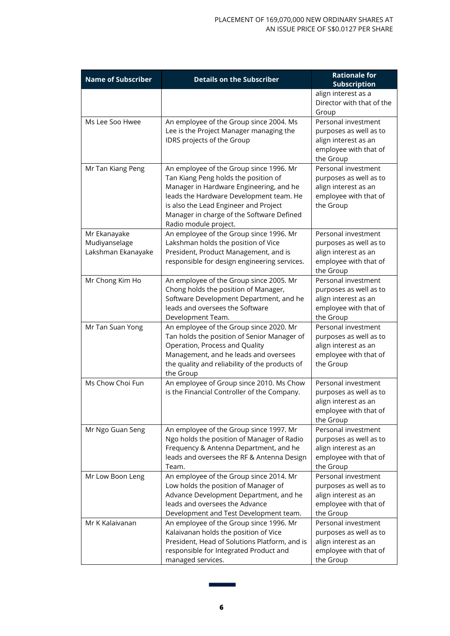| <b>Name of Subscriber</b> | <b>Details on the Subscriber</b>                                      | <b>Rationale for</b>                           |
|---------------------------|-----------------------------------------------------------------------|------------------------------------------------|
|                           |                                                                       | <b>Subscription</b>                            |
|                           |                                                                       | align interest as a                            |
|                           |                                                                       | Director with that of the                      |
|                           |                                                                       | Group<br>Personal investment                   |
| Ms Lee Soo Hwee           | An employee of the Group since 2004. Ms                               |                                                |
|                           | Lee is the Project Manager managing the<br>IDRS projects of the Group | purposes as well as to<br>align interest as an |
|                           |                                                                       | employee with that of                          |
|                           |                                                                       | the Group                                      |
| Mr Tan Kiang Peng         | An employee of the Group since 1996. Mr                               | Personal investment                            |
|                           | Tan Kiang Peng holds the position of                                  | purposes as well as to                         |
|                           | Manager in Hardware Engineering, and he                               | align interest as an                           |
|                           | leads the Hardware Development team. He                               | employee with that of                          |
|                           | is also the Lead Engineer and Project                                 | the Group                                      |
|                           | Manager in charge of the Software Defined                             |                                                |
|                           | Radio module project.                                                 |                                                |
| Mr Ekanayake              | An employee of the Group since 1996. Mr                               | Personal investment                            |
| Mudiyanselage             | Lakshman holds the position of Vice                                   | purposes as well as to                         |
| Lakshman Ekanayake        | President, Product Management, and is                                 | align interest as an                           |
|                           | responsible for design engineering services.                          | employee with that of                          |
|                           |                                                                       | the Group                                      |
| Mr Chong Kim Ho           | An employee of the Group since 2005. Mr                               | Personal investment                            |
|                           | Chong holds the position of Manager,                                  | purposes as well as to                         |
|                           | Software Development Department, and he                               | align interest as an                           |
|                           | leads and oversees the Software                                       | employee with that of                          |
|                           | Development Team.                                                     | the Group                                      |
| Mr Tan Suan Yong          | An employee of the Group since 2020. Mr                               | Personal investment                            |
|                           | Tan holds the position of Senior Manager of                           | purposes as well as to                         |
|                           | Operation, Process and Quality                                        | align interest as an                           |
|                           | Management, and he leads and oversees                                 | employee with that of                          |
|                           | the quality and reliability of the products of<br>the Group           | the Group                                      |
| Ms Chow Choi Fun          | An employee of Group since 2010. Ms Chow                              | Personal investment                            |
|                           | is the Financial Controller of the Company.                           | purposes as well as to                         |
|                           |                                                                       | align interest as an                           |
|                           |                                                                       | employee with that of                          |
|                           |                                                                       | the Group                                      |
| Mr Ngo Guan Seng          | An employee of the Group since 1997. Mr                               | Personal investment                            |
|                           | Ngo holds the position of Manager of Radio                            | purposes as well as to                         |
|                           | Frequency & Antenna Department, and he                                | align interest as an                           |
|                           | leads and oversees the RF & Antenna Design                            | employee with that of                          |
|                           | Team.                                                                 | the Group                                      |
| Mr Low Boon Leng          | An employee of the Group since 2014. Mr                               | Personal investment                            |
|                           | Low holds the position of Manager of                                  | purposes as well as to                         |
|                           | Advance Development Department, and he                                | align interest as an                           |
|                           | leads and oversees the Advance                                        | employee with that of                          |
|                           | Development and Test Development team.                                | the Group                                      |
| Mr K Kalaivanan           | An employee of the Group since 1996. Mr                               | Personal investment                            |
|                           | Kalaivanan holds the position of Vice                                 | purposes as well as to                         |
|                           | President, Head of Solutions Platform, and is                         | align interest as an                           |
|                           | responsible for Integrated Product and                                | employee with that of                          |
|                           | managed services.                                                     | the Group                                      |

÷.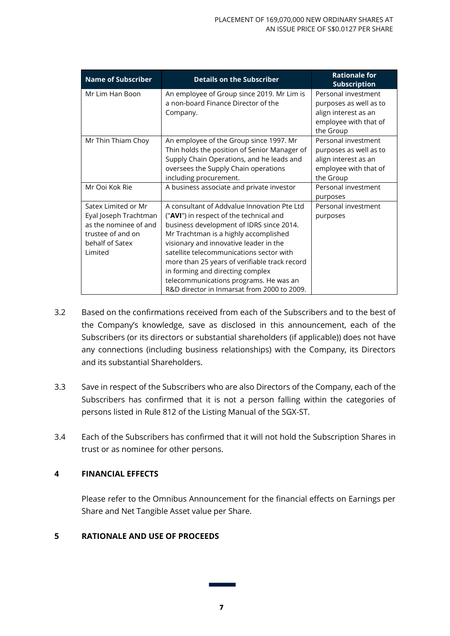| <b>Name of Subscriber</b>                                                                                                | <b>Details on the Subscriber</b>                                                                                                                                                                                                                                                                                                                                                                                                                | <b>Rationale for</b><br><b>Subscription</b>                                                                 |
|--------------------------------------------------------------------------------------------------------------------------|-------------------------------------------------------------------------------------------------------------------------------------------------------------------------------------------------------------------------------------------------------------------------------------------------------------------------------------------------------------------------------------------------------------------------------------------------|-------------------------------------------------------------------------------------------------------------|
| Mr Lim Han Boon                                                                                                          | An employee of Group since 2019. Mr Lim is<br>a non-board Finance Director of the<br>Company.                                                                                                                                                                                                                                                                                                                                                   | Personal investment<br>purposes as well as to<br>align interest as an<br>employee with that of<br>the Group |
| Mr Thin Thiam Choy                                                                                                       | An employee of the Group since 1997. Mr<br>Thin holds the position of Senior Manager of<br>Supply Chain Operations, and he leads and<br>oversees the Supply Chain operations<br>including procurement.                                                                                                                                                                                                                                          | Personal investment<br>purposes as well as to<br>align interest as an<br>employee with that of<br>the Group |
| Mr Ooi Kok Rie                                                                                                           | A business associate and private investor                                                                                                                                                                                                                                                                                                                                                                                                       | Personal investment<br>purposes                                                                             |
| Satex Limited or Mr<br>Eyal Joseph Trachtman<br>as the nominee of and<br>trustee of and on<br>behalf of Satex<br>Limited | A consultant of Addyalue Innovation Pte Ltd<br>("AVI") in respect of the technical and<br>business development of IDRS since 2014.<br>Mr Trachtman is a highly accomplished<br>visionary and innovative leader in the<br>satellite telecommunications sector with<br>more than 25 years of verifiable track record<br>in forming and directing complex<br>telecommunications programs. He was an<br>R&D director in Inmarsat from 2000 to 2009. | Personal investment<br>purposes                                                                             |

- 3.2 Based on the confirmations received from each of the Subscribers and to the best of the Company's knowledge, save as disclosed in this announcement, each of the Subscribers (or its directors or substantial shareholders (if applicable)) does not have any connections (including business relationships) with the Company, its Directors and its substantial Shareholders.
- 3.3 Save in respect of the Subscribers who are also Directors of the Company, each of the Subscribers has confirmed that it is not a person falling within the categories of persons listed in Rule 812 of the Listing Manual of the SGX-ST.
- 3.4 Each of the Subscribers has confirmed that it will not hold the Subscription Shares in trust or as nominee for other persons.

## **4 FINANCIAL EFFECTS**

Please refer to the Omnibus Announcement for the financial effects on Earnings per Share and Net Tangible Asset value per Share.

## **5 RATIONALE AND USE OF PROCEEDS**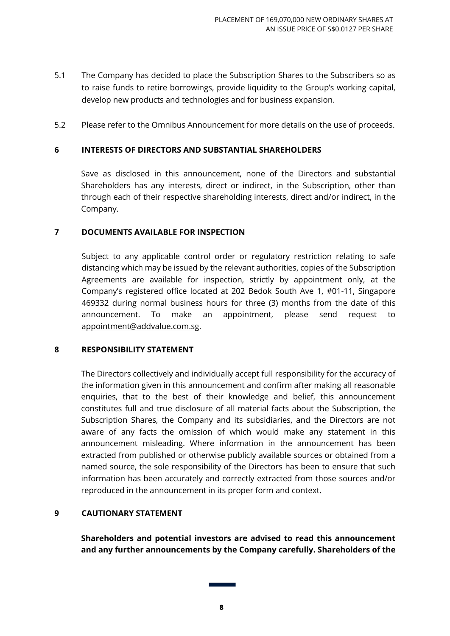- 5.1 The Company has decided to place the Subscription Shares to the Subscribers so as to raise funds to retire borrowings, provide liquidity to the Group's working capital, develop new products and technologies and for business expansion.
- 5.2 Please refer to the Omnibus Announcement for more details on the use of proceeds.

### **6 INTERESTS OF DIRECTORS AND SUBSTANTIAL SHAREHOLDERS**

Save as disclosed in this announcement, none of the Directors and substantial Shareholders has any interests, direct or indirect, in the Subscription, other than through each of their respective shareholding interests, direct and/or indirect, in the Company.

### **7 DOCUMENTS AVAILABLE FOR INSPECTION**

Subject to any applicable control order or regulatory restriction relating to safe distancing which may be issued by the relevant authorities, copies of the Subscription Agreements are available for inspection, strictly by appointment only, at the Company's registered office located at 202 Bedok South Ave 1, #01-11, Singapore 469332 during normal business hours for three (3) months from the date of this announcement. To make an appointment, please send request to [appointment@addvalue.com.sg.](mailto:appointment@addvalue.com.sg)

#### **8 RESPONSIBILITY STATEMENT**

The Directors collectively and individually accept full responsibility for the accuracy of the information given in this announcement and confirm after making all reasonable enquiries, that to the best of their knowledge and belief, this announcement constitutes full and true disclosure of all material facts about the Subscription, the Subscription Shares, the Company and its subsidiaries, and the Directors are not aware of any facts the omission of which would make any statement in this announcement misleading. Where information in the announcement has been extracted from published or otherwise publicly available sources or obtained from a named source, the sole responsibility of the Directors has been to ensure that such information has been accurately and correctly extracted from those sources and/or reproduced in the announcement in its proper form and context.

#### **9 CAUTIONARY STATEMENT**

**Shareholders and potential investors are advised to read this announcement and any further announcements by the Company carefully. Shareholders of the**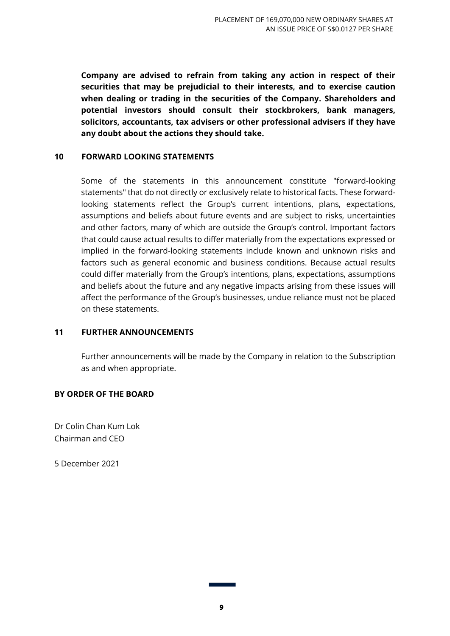**Company are advised to refrain from taking any action in respect of their securities that may be prejudicial to their interests, and to exercise caution when dealing or trading in the securities of the Company. Shareholders and potential investors should consult their stockbrokers, bank managers, solicitors, accountants, tax advisers or other professional advisers if they have any doubt about the actions they should take.**

#### **10 FORWARD LOOKING STATEMENTS**

Some of the statements in this announcement constitute "forward-looking statements" that do not directly or exclusively relate to historical facts. These forwardlooking statements reflect the Group's current intentions, plans, expectations, assumptions and beliefs about future events and are subject to risks, uncertainties and other factors, many of which are outside the Group's control. Important factors that could cause actual results to differ materially from the expectations expressed or implied in the forward-looking statements include known and unknown risks and factors such as general economic and business conditions. Because actual results could differ materially from the Group's intentions, plans, expectations, assumptions and beliefs about the future and any negative impacts arising from these issues will affect the performance of the Group's businesses, undue reliance must not be placed on these statements.

#### **11 FURTHER ANNOUNCEMENTS**

Further announcements will be made by the Company in relation to the Subscription as and when appropriate.

## **BY ORDER OF THE BOARD**

Dr Colin Chan Kum Lok Chairman and CEO

5 December 2021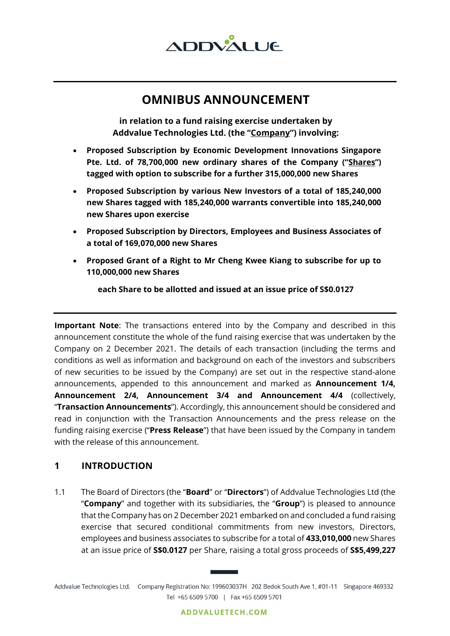

# **OMNIBUS ANNOUNCEMENT**

**in relation to a fund raising exercise undertaken by Addvalue Technologies Ltd. (the "Company") involving:**

- **Proposed Subscription by Economic Development Innovations Singapore Pte. Ltd. of 78,700,000 new ordinary shares of the Company ("Shares") tagged with option to subscribe for a further 315,000,000 new Shares**
- **Proposed Subscription by various New Investors of a total of 185,240,000 new Shares tagged with 185,240,000 warrants convertible into 185,240,000 new Shares upon exercise**
- **Proposed Subscription by Directors, Employees and Business Associates of a total of 169,070,000 new Shares**
- **Proposed Grant of a Right to Mr Cheng Kwee Kiang to subscribe for up to 110,000,000 new Shares**

**each Share to be allotted and issued at an issue price of S\$0.0127**

**Important Note**: The transactions entered into by the Company and described in this announcement constitute the whole of the fund raising exercise that was undertaken by the Company on 2 December 2021. The details of each transaction (including the terms and conditions as well as information and background on each of the investors and subscribers of new securities to be issued by the Company) are set out in the respective stand-alone announcements, appended to this announcement and marked as **Announcement 1/4, Announcement 2/4, Announcement 3/4 and Announcement 4/4** (collectively, "**Transaction Announcements**"). Accordingly, this announcement should be considered and read in conjunction with the Transaction Announcements and the press release on the funding raising exercise ("**Press Release**") that have been issued by the Company in tandem with the release of this announcement.

# **1 INTRODUCTION**

1.1 The Board of Directors (the "**Board**" or "**Directors**") of Addvalue Technologies Ltd (the "**Company**" and together with its subsidiaries, the "**Group**") is pleased to announce that the Company has on 2 December 2021 embarked on and concluded a fund raising exercise that secured conditional commitments from new investors, Directors, employees and business associates to subscribe for a total of **433,010,000** new Shares at an issue price of **S\$0.0127** per Share, raising a total gross proceeds of **S\$5,499,227**

Addvalue Technologies Ltd. Company Registration No: 199603037H 202 Bedok South Ave 1, #01-11 Singapore 469332 Tel +65 6509 5700 | Fax +65 6509 5701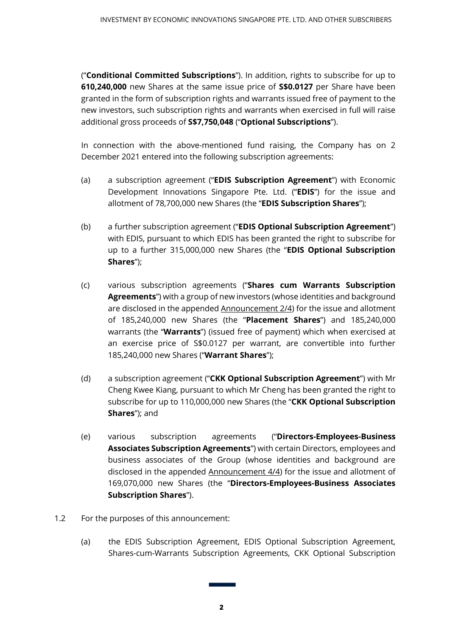("**Conditional Committed Subscriptions**"). In addition, rights to subscribe for up to **610,240,000** new Shares at the same issue price of **S\$0.0127** per Share have been granted in the form of subscription rights and warrants issued free of payment to the new investors, such subscription rights and warrants when exercised in full will raise additional gross proceeds of **S\$7,750,048** ("**Optional Subscriptions**").

In connection with the above-mentioned fund raising, the Company has on 2 December 2021 entered into the following subscription agreements:

- (a) a subscription agreement ("**EDIS Subscription Agreement**") with Economic Development Innovations Singapore Pte. Ltd. ("**EDIS**") for the issue and allotment of 78,700,000 new Shares (the "**EDIS Subscription Shares**");
- (b) a further subscription agreement ("**EDIS Optional Subscription Agreement**") with EDIS, pursuant to which EDIS has been granted the right to subscribe for up to a further 315,000,000 new Shares (the "**EDIS Optional Subscription Shares**");
- (c) various subscription agreements ("**Shares cum Warrants Subscription Agreements**") with a group of new investors (whose identities and background are disclosed in the appended Announcement 2/4) for the issue and allotment of 185,240,000 new Shares (the "**Placement Shares**") and 185,240,000 warrants (the "**Warrants**") (issued free of payment) which when exercised at an exercise price of S\$0.0127 per warrant, are convertible into further 185,240,000 new Shares ("**Warrant Shares**");
- (d) a subscription agreement ("**CKK Optional Subscription Agreement**") with Mr Cheng Kwee Kiang, pursuant to which Mr Cheng has been granted the right to subscribe for up to 110,000,000 new Shares (the "**CKK Optional Subscription Shares**"); and
- (e) various subscription agreements ("**Directors-Employees-Business Associates Subscription Agreements**") with certain Directors, employees and business associates of the Group (whose identities and background are disclosed in the appended Announcement 4/4) for the issue and allotment of 169,070,000 new Shares (the "**Directors-Employees-Business Associates Subscription Shares**").
- 1.2 For the purposes of this announcement:
	- (a) the EDIS Subscription Agreement, EDIS Optional Subscription Agreement, Shares-cum-Warrants Subscription Agreements, CKK Optional Subscription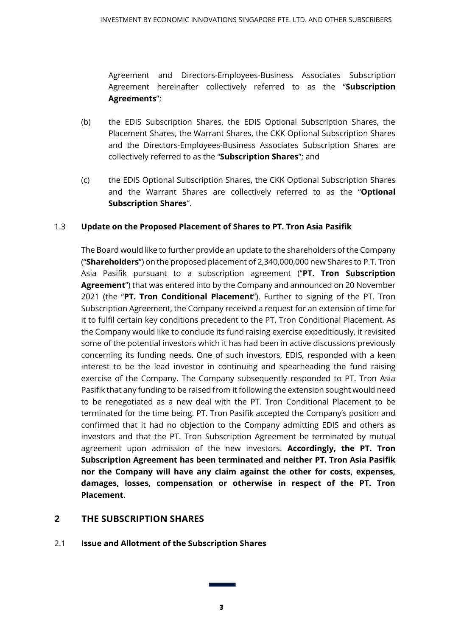Agreement and Directors-Employees-Business Associates Subscription Agreement hereinafter collectively referred to as the "**Subscription Agreements**";

- (b) the EDIS Subscription Shares, the EDIS Optional Subscription Shares, the Placement Shares, the Warrant Shares, the CKK Optional Subscription Shares and the Directors-Employees-Business Associates Subscription Shares are collectively referred to as the "**Subscription Shares**"; and
- (c) the EDIS Optional Subscription Shares, the CKK Optional Subscription Shares and the Warrant Shares are collectively referred to as the "**Optional Subscription Shares**".

# 1.3 **Update on the Proposed Placement of Shares to PT. Tron Asia Pasifik**

The Board would like to further provide an update to the shareholders of the Company ("**Shareholders**") on the proposed placement of 2,340,000,000 new Shares to P.T. Tron Asia Pasifik pursuant to a subscription agreement ("**PT. Tron Subscription Agreement**") that was entered into by the Company and announced on 20 November 2021 (the "**PT. Tron Conditional Placement**"). Further to signing of the PT. Tron Subscription Agreement, the Company received a request for an extension of time for it to fulfil certain key conditions precedent to the PT. Tron Conditional Placement. As the Company would like to conclude its fund raising exercise expeditiously, it revisited some of the potential investors which it has had been in active discussions previously concerning its funding needs. One of such investors, EDIS, responded with a keen interest to be the lead investor in continuing and spearheading the fund raising exercise of the Company. The Company subsequently responded to PT. Tron Asia Pasifik that any funding to be raised from it following the extension sought would need to be renegotiated as a new deal with the PT. Tron Conditional Placement to be terminated for the time being. PT. Tron Pasifik accepted the Company's position and confirmed that it had no objection to the Company admitting EDIS and others as investors and that the PT. Tron Subscription Agreement be terminated by mutual agreement upon admission of the new investors. **Accordingly, the PT. Tron Subscription Agreement has been terminated and neither PT. Tron Asia Pasifik nor the Company will have any claim against the other for costs, expenses, damages, losses, compensation or otherwise in respect of the PT. Tron Placement**.

# **2 THE SUBSCRIPTION SHARES**

2.1 **Issue and Allotment of the Subscription Shares**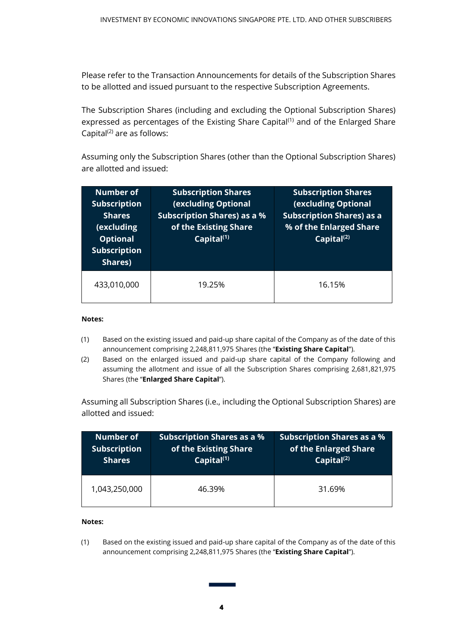Please refer to the Transaction Announcements for details of the Subscription Shares to be allotted and issued pursuant to the respective Subscription Agreements.

The Subscription Shares (including and excluding the Optional Subscription Shares) expressed as percentages of the Existing Share Capital<sup>(1)</sup> and of the Enlarged Share Capital $^{(2)}$  are as follows:

Assuming only the Subscription Shares (other than the Optional Subscription Shares) are allotted and issued:

| <b>Number of</b><br><b>Subscription</b><br><b>Shares</b><br>(excluding<br><b>Optional</b><br><b>Subscription</b><br>Shares) | <b>Subscription Shares</b><br><b>(excluding Optional</b><br><b>Subscription Shares) as a %</b><br>of the Existing Share<br>Capital <sup>(1)</sup> | <b>Subscription Shares</b><br><b>(excluding Optional</b><br><b>Subscription Shares) as a</b><br>% of the Enlarged Share<br>Capital <sup>(2)</sup> |
|-----------------------------------------------------------------------------------------------------------------------------|---------------------------------------------------------------------------------------------------------------------------------------------------|---------------------------------------------------------------------------------------------------------------------------------------------------|
| 433,010,000                                                                                                                 | 19.25%                                                                                                                                            | 16.15%                                                                                                                                            |

#### **Notes:**

- (1) Based on the existing issued and paid-up share capital of the Company as of the date of this announcement comprising 2,248,811,975 Shares (the "**Existing Share Capital**").
- (2) Based on the enlarged issued and paid-up share capital of the Company following and assuming the allotment and issue of all the Subscription Shares comprising 2,681,821,975 Shares (the "**Enlarged Share Capital**").

Assuming all Subscription Shares (i.e., including the Optional Subscription Shares) are allotted and issued:

| <b>Number of</b>    | <b>Subscription Shares as a %</b> | <b>Subscription Shares as a %</b> |
|---------------------|-----------------------------------|-----------------------------------|
| <b>Subscription</b> | of the Existing Share             | of the Enlarged Share             |
| <b>Shares</b>       | Capital $(1)$                     | $ $ Capital <sup>(2)</sup>        |
| 1,043,250,000       | 46.39%                            | 31.69%                            |

#### **Notes:**

(1) Based on the existing issued and paid-up share capital of the Company as of the date of this announcement comprising 2,248,811,975 Shares (the "**Existing Share Capital**").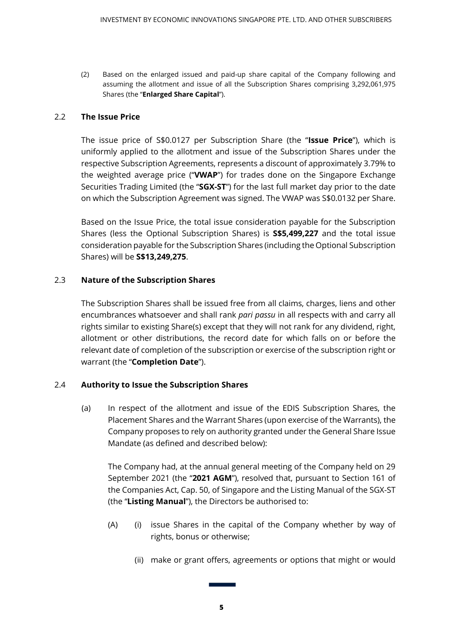(2) Based on the enlarged issued and paid-up share capital of the Company following and assuming the allotment and issue of all the Subscription Shares comprising 3,292,061,975 Shares (the "**Enlarged Share Capital**").

#### 2.2 **The Issue Price**

The issue price of S\$0.0127 per Subscription Share (the "**Issue Price**"), which is uniformly applied to the allotment and issue of the Subscription Shares under the respective Subscription Agreements, represents a discount of approximately 3.79% to the weighted average price ("**VWAP**") for trades done on the Singapore Exchange Securities Trading Limited (the "**SGX-ST**") for the last full market day prior to the date on which the Subscription Agreement was signed. The VWAP was S\$0.0132 per Share.

Based on the Issue Price, the total issue consideration payable for the Subscription Shares (less the Optional Subscription Shares) is **S\$5,499,227** and the total issue consideration payable for the Subscription Shares (including the Optional Subscription Shares) will be **S\$13,249,275**.

### 2.3 **Nature of the Subscription Shares**

The Subscription Shares shall be issued free from all claims, charges, liens and other encumbrances whatsoever and shall rank *pari passu* in all respects with and carry all rights similar to existing Share(s) except that they will not rank for any dividend, right, allotment or other distributions, the record date for which falls on or before the relevant date of completion of the subscription or exercise of the subscription right or warrant (the "**Completion Date**").

## 2.4 **Authority to Issue the Subscription Shares**

(a) In respect of the allotment and issue of the EDIS Subscription Shares, the Placement Shares and the Warrant Shares (upon exercise of the Warrants), the Company proposes to rely on authority granted under the General Share Issue Mandate (as defined and described below):

The Company had, at the annual general meeting of the Company held on 29 September 2021 (the "**2021 AGM**"), resolved that, pursuant to Section 161 of the Companies Act, Cap. 50, of Singapore and the Listing Manual of the SGX-ST (the "**Listing Manual**"), the Directors be authorised to:

- (A) (i) issue Shares in the capital of the Company whether by way of rights, bonus or otherwise;
	- (ii) make or grant offers, agreements or options that might or would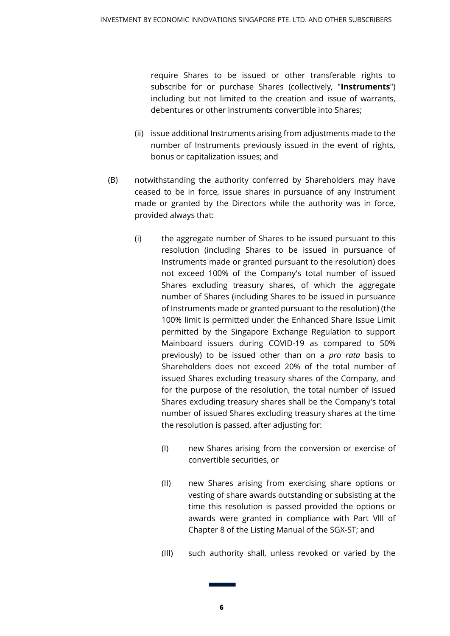require Shares to be issued or other transferable rights to subscribe for or purchase Shares (collectively, "**Instruments**") including but not limited to the creation and issue of warrants, debentures or other instruments convertible into Shares;

- (ii) issue additional Instruments arising from adjustments made to the number of Instruments previously issued in the event of rights, bonus or capitalization issues; and
- (B) notwithstanding the authority conferred by Shareholders may have ceased to be in force, issue shares in pursuance of any Instrument made or granted by the Directors while the authority was in force, provided always that:
	- (i) the aggregate number of Shares to be issued pursuant to this resolution (including Shares to be issued in pursuance of Instruments made or granted pursuant to the resolution) does not exceed 100% of the Company's total number of issued Shares excluding treasury shares, of which the aggregate number of Shares (including Shares to be issued in pursuance of Instruments made or granted pursuant to the resolution) (the 100% limit is permitted under the Enhanced Share Issue Limit permitted by the Singapore Exchange Regulation to support Mainboard issuers during COVID-19 as compared to 50% previously) to be issued other than on a *pro rata* basis to Shareholders does not exceed 20% of the total number of issued Shares excluding treasury shares of the Company, and for the purpose of the resolution, the total number of issued Shares excluding treasury shares shall be the Company's total number of issued Shares excluding treasury shares at the time the resolution is passed, after adjusting for:
		- (I) new Shares arising from the conversion or exercise of convertible securities, or
		- (II) new Shares arising from exercising share options or vesting of share awards outstanding or subsisting at the time this resolution is passed provided the options or awards were granted in compliance with Part Vlll of Chapter 8 of the Listing Manual of the SGX-ST; and
		- (III) such authority shall, unless revoked or varied by the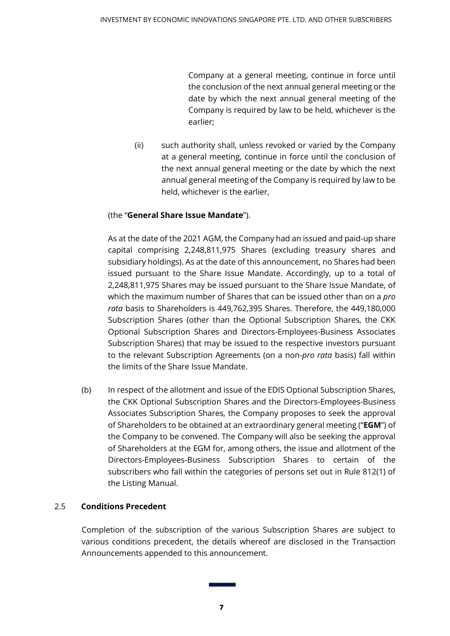Company at a general meeting, continue in force until the conclusion of the next annual general meeting or the date by which the next annual general meeting of the Company is required by law to be held, whichever is the earlier;

(ii) such authority shall, unless revoked or varied by the Company at a general meeting, continue in force until the conclusion of the next annual general meeting or the date by which the next annual general meeting of the Company is required by law to be held, whichever is the earlier,

## (the "**General Share Issue Mandate**").

As at the date of the 2021 AGM, the Company had an issued and paid-up share capital comprising 2,248,811,975 Shares (excluding treasury shares and subsidiary holdings). As at the date of this announcement, no Shares had been issued pursuant to the Share Issue Mandate. Accordingly, up to a total of 2,248,811,975 Shares may be issued pursuant to the Share Issue Mandate, of which the maximum number of Shares that can be issued other than on a *pro rata* basis to Shareholders is 449,762,395 Shares. Therefore, the 449,180,000 Subscription Shares (other than the Optional Subscription Shares, the CKK Optional Subscription Shares and Directors-Employees-Business Associates Subscription Shares) that may be issued to the respective investors pursuant to the relevant Subscription Agreements (on a non-*pro rata* basis) fall within the limits of the Share Issue Mandate.

(b) In respect of the allotment and issue of the EDIS Optional Subscription Shares, the CKK Optional Subscription Shares and the Directors-Employees-Business Associates Subscription Shares, the Company proposes to seek the approval of Shareholders to be obtained at an extraordinary general meeting ("**EGM**") of the Company to be convened. The Company will also be seeking the approval of Shareholders at the EGM for, among others, the issue and allotment of the Directors-Employees-Business Subscription Shares to certain of the subscribers who fall within the categories of persons set out in Rule 812(1) of the Listing Manual.

## 2.5 **Conditions Precedent**

Completion of the subscription of the various Subscription Shares are subject to various conditions precedent, the details whereof are disclosed in the Transaction Announcements appended to this announcement.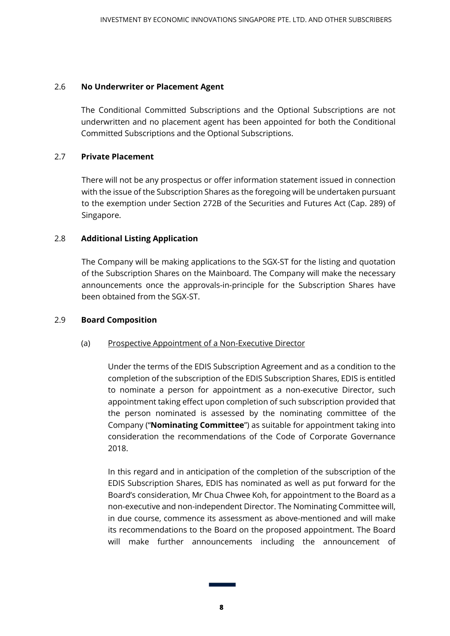#### 2.6 **No Underwriter or Placement Agent**

The Conditional Committed Subscriptions and the Optional Subscriptions are not underwritten and no placement agent has been appointed for both the Conditional Committed Subscriptions and the Optional Subscriptions.

#### 2.7 **Private Placement**

There will not be any prospectus or offer information statement issued in connection with the issue of the Subscription Shares as the foregoing will be undertaken pursuant to the exemption under Section 272B of the Securities and Futures Act (Cap. 289) of Singapore.

#### 2.8 **Additional Listing Application**

The Company will be making applications to the SGX-ST for the listing and quotation of the Subscription Shares on the Mainboard. The Company will make the necessary announcements once the approvals-in-principle for the Subscription Shares have been obtained from the SGX-ST.

#### 2.9 **Board Composition**

#### (a) Prospective Appointment of a Non-Executive Director

Under the terms of the EDIS Subscription Agreement and as a condition to the completion of the subscription of the EDIS Subscription Shares, EDIS is entitled to nominate a person for appointment as a non-executive Director, such appointment taking effect upon completion of such subscription provided that the person nominated is assessed by the nominating committee of the Company ("**Nominating Committee**") as suitable for appointment taking into consideration the recommendations of the Code of Corporate Governance 2018.

In this regard and in anticipation of the completion of the subscription of the EDIS Subscription Shares, EDIS has nominated as well as put forward for the Board's consideration, Mr Chua Chwee Koh, for appointment to the Board as a non-executive and non-independent Director. The Nominating Committee will, in due course, commence its assessment as above-mentioned and will make its recommendations to the Board on the proposed appointment. The Board will make further announcements including the announcement of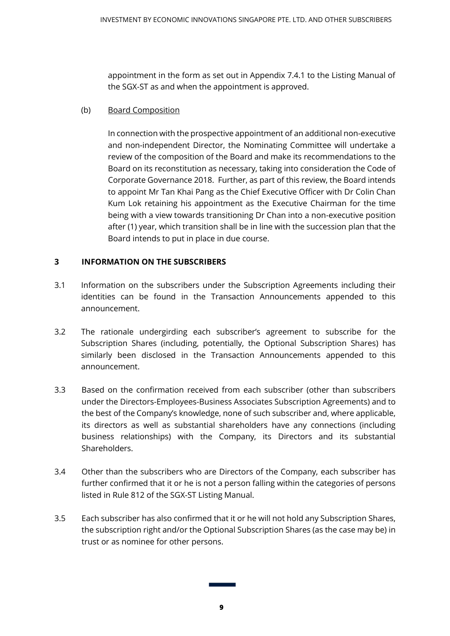appointment in the form as set out in Appendix 7.4.1 to the Listing Manual of the SGX-ST as and when the appointment is approved.

## (b) Board Composition

In connection with the prospective appointment of an additional non-executive and non-independent Director, the Nominating Committee will undertake a review of the composition of the Board and make its recommendations to the Board on its reconstitution as necessary, taking into consideration the Code of Corporate Governance 2018. Further, as part of this review, the Board intends to appoint Mr Tan Khai Pang as the Chief Executive Officer with Dr Colin Chan Kum Lok retaining his appointment as the Executive Chairman for the time being with a view towards transitioning Dr Chan into a non-executive position after (1) year, which transition shall be in line with the succession plan that the Board intends to put in place in due course.

# **3 INFORMATION ON THE SUBSCRIBERS**

- 3.1 Information on the subscribers under the Subscription Agreements including their identities can be found in the Transaction Announcements appended to this announcement.
- 3.2 The rationale undergirding each subscriber's agreement to subscribe for the Subscription Shares (including, potentially, the Optional Subscription Shares) has similarly been disclosed in the Transaction Announcements appended to this announcement.
- 3.3 Based on the confirmation received from each subscriber (other than subscribers under the Directors-Employees-Business Associates Subscription Agreements) and to the best of the Company's knowledge, none of such subscriber and, where applicable, its directors as well as substantial shareholders have any connections (including business relationships) with the Company, its Directors and its substantial Shareholders.
- 3.4 Other than the subscribers who are Directors of the Company, each subscriber has further confirmed that it or he is not a person falling within the categories of persons listed in Rule 812 of the SGX-ST Listing Manual.
- 3.5 Each subscriber has also confirmed that it or he will not hold any Subscription Shares, the subscription right and/or the Optional Subscription Shares (as the case may be) in trust or as nominee for other persons.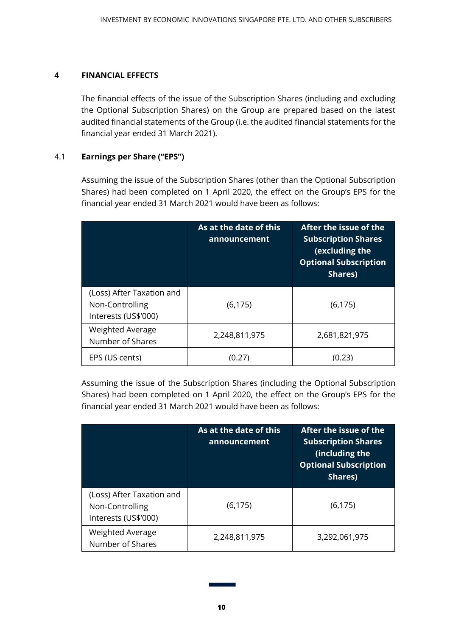### **4 FINANCIAL EFFECTS**

The financial effects of the issue of the Subscription Shares (including and excluding the Optional Subscription Shares) on the Group are prepared based on the latest audited financial statements of the Group (i.e. the audited financial statements for the financial year ended 31 March 2021).

## 4.1 **Earnings per Share ("EPS")**

Assuming the issue of the Subscription Shares (other than the Optional Subscription Shares) had been completed on 1 April 2020, the effect on the Group's EPS for the financial year ended 31 March 2021 would have been as follows:

|                                                                      | As at the date of this<br>announcement | After the issue of the<br><b>Subscription Shares</b><br>(excluding the<br><b>Optional Subscription</b><br>Shares) |
|----------------------------------------------------------------------|----------------------------------------|-------------------------------------------------------------------------------------------------------------------|
| (Loss) After Taxation and<br>Non-Controlling<br>Interests (US\$'000) | (6, 175)                               | (6, 175)                                                                                                          |
| <b>Weighted Average</b><br>Number of Shares                          | 2,248,811,975                          | 2,681,821,975                                                                                                     |
| EPS (US cents)                                                       | (0.27)                                 | (0.23)                                                                                                            |

Assuming the issue of the Subscription Shares (including the Optional Subscription Shares) had been completed on 1 April 2020, the effect on the Group's EPS for the financial year ended 31 March 2021 would have been as follows:

|                                                                      | As at the date of this<br>announcement | After the issue of the<br><b>Subscription Shares</b><br>(including the<br><b>Optional Subscription</b><br>Shares) |
|----------------------------------------------------------------------|----------------------------------------|-------------------------------------------------------------------------------------------------------------------|
| (Loss) After Taxation and<br>Non-Controlling<br>Interests (US\$'000) | (6, 175)                               | (6, 175)                                                                                                          |
| Weighted Average<br>Number of Shares                                 | 2,248,811,975                          | 3,292,061,975                                                                                                     |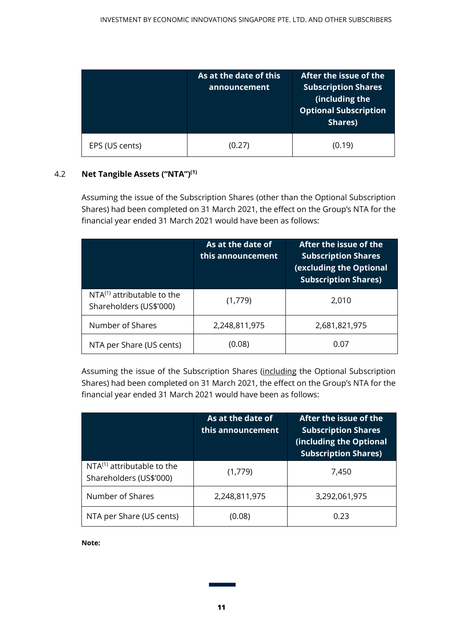|                | As at the date of this<br>announcement | After the issue of the<br><b>Subscription Shares</b><br>(including the<br><b>Optional Subscription</b><br>Shares) |
|----------------|----------------------------------------|-------------------------------------------------------------------------------------------------------------------|
| EPS (US cents) | (0.27)                                 | (0.19)                                                                                                            |

## 4.2 **Net Tangible Assets ("NTA")(1)**

Assuming the issue of the Subscription Shares (other than the Optional Subscription Shares) had been completed on 31 March 2021, the effect on the Group's NTA for the financial year ended 31 March 2021 would have been as follows:

|                                                            | As at the date of<br>this announcement | After the issue of the<br><b>Subscription Shares</b><br>(excluding the Optional<br><b>Subscription Shares)</b> |
|------------------------------------------------------------|----------------------------------------|----------------------------------------------------------------------------------------------------------------|
| $NTA^{(1)}$ attributable to the<br>Shareholders (US\$'000) | (1,779)                                | 2,010                                                                                                          |
| Number of Shares                                           | 2,248,811,975                          | 2,681,821,975                                                                                                  |
| NTA per Share (US cents)                                   | (0.08)                                 | 0.07                                                                                                           |

Assuming the issue of the Subscription Shares (including the Optional Subscription Shares) had been completed on 31 March 2021, the effect on the Group's NTA for the financial year ended 31 March 2021 would have been as follows:

|                                                            | As at the date of<br>this announcement | After the issue of the<br><b>Subscription Shares</b><br>(including the Optional<br><b>Subscription Shares)</b> |
|------------------------------------------------------------|----------------------------------------|----------------------------------------------------------------------------------------------------------------|
| $NTA^{(1)}$ attributable to the<br>Shareholders (US\$'000) | (1,779)                                | 7,450                                                                                                          |
| Number of Shares                                           | 2,248,811,975                          | 3,292,061,975                                                                                                  |
| NTA per Share (US cents)                                   | (0.08)                                 | 0.23                                                                                                           |

#### **Note:**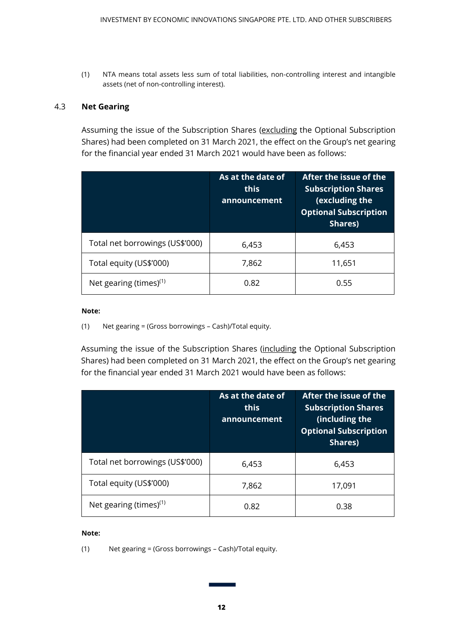(1) NTA means total assets less sum of total liabilities, non-controlling interest and intangible assets (net of non-controlling interest).

#### 4.3 **Net Gearing**

Assuming the issue of the Subscription Shares (excluding the Optional Subscription Shares) had been completed on 31 March 2021, the effect on the Group's net gearing for the financial year ended 31 March 2021 would have been as follows:

|                                 | As at the date of<br>this<br>announcement | After the issue of the<br><b>Subscription Shares</b><br>(excluding the<br><b>Optional Subscription</b><br>Shares) |
|---------------------------------|-------------------------------------------|-------------------------------------------------------------------------------------------------------------------|
| Total net borrowings (US\$'000) | 6,453                                     | 6,453                                                                                                             |
| Total equity (US\$'000)         | 7,862                                     | 11,651                                                                                                            |
| Net gearing (times) $(1)$       | 0.82                                      | 0.55                                                                                                              |

#### **Note:**

(1) Net gearing = (Gross borrowings – Cash)/Total equity.

Assuming the issue of the Subscription Shares (including the Optional Subscription Shares) had been completed on 31 March 2021, the effect on the Group's net gearing for the financial year ended 31 March 2021 would have been as follows:

|                                 | As at the date of<br>this<br>announcement | After the issue of the<br><b>Subscription Shares</b><br>(including the<br><b>Optional Subscription</b><br>Shares) |
|---------------------------------|-------------------------------------------|-------------------------------------------------------------------------------------------------------------------|
| Total net borrowings (US\$'000) | 6,453                                     | 6,453                                                                                                             |
| Total equity (US\$'000)         | 7,862                                     | 17,091                                                                                                            |
| Net gearing (times) $(1)$       | 0.82                                      | 0.38                                                                                                              |

#### **Note:**

(1) Net gearing = (Gross borrowings – Cash)/Total equity.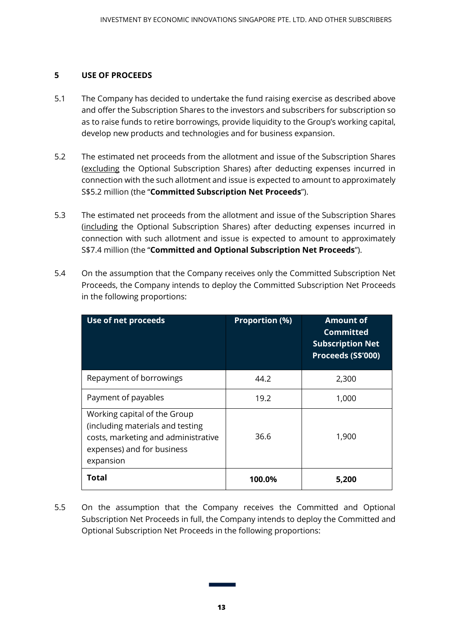### **5 USE OF PROCEEDS**

- 5.1 The Company has decided to undertake the fund raising exercise as described above and offer the Subscription Shares to the investors and subscribers for subscription so as to raise funds to retire borrowings, provide liquidity to the Group's working capital, develop new products and technologies and for business expansion.
- 5.2 The estimated net proceeds from the allotment and issue of the Subscription Shares (excluding the Optional Subscription Shares) after deducting expenses incurred in connection with the such allotment and issue is expected to amount to approximately S\$5.2 million (the "**Committed Subscription Net Proceeds**").
- 5.3 The estimated net proceeds from the allotment and issue of the Subscription Shares (including the Optional Subscription Shares) after deducting expenses incurred in connection with such allotment and issue is expected to amount to approximately S\$7.4 million (the "**Committed and Optional Subscription Net Proceeds**").
- 5.4 On the assumption that the Company receives only the Committed Subscription Net Proceeds, the Company intends to deploy the Committed Subscription Net Proceeds in the following proportions:

| Use of net proceeds                                                                                                                                | <b>Proportion (%)</b> | <b>Amount of</b><br><b>Committed</b><br><b>Subscription Net</b><br>Proceeds (S\$'000) |
|----------------------------------------------------------------------------------------------------------------------------------------------------|-----------------------|---------------------------------------------------------------------------------------|
| Repayment of borrowings                                                                                                                            | 44.2                  | 2,300                                                                                 |
| Payment of payables                                                                                                                                | 19.2                  | 1,000                                                                                 |
| Working capital of the Group<br>(including materials and testing<br>costs, marketing and administrative<br>expenses) and for business<br>expansion | 36.6                  | 1,900                                                                                 |
| Total                                                                                                                                              | 100.0%                | 5.200                                                                                 |

5.5 On the assumption that the Company receives the Committed and Optional Subscription Net Proceeds in full, the Company intends to deploy the Committed and Optional Subscription Net Proceeds in the following proportions: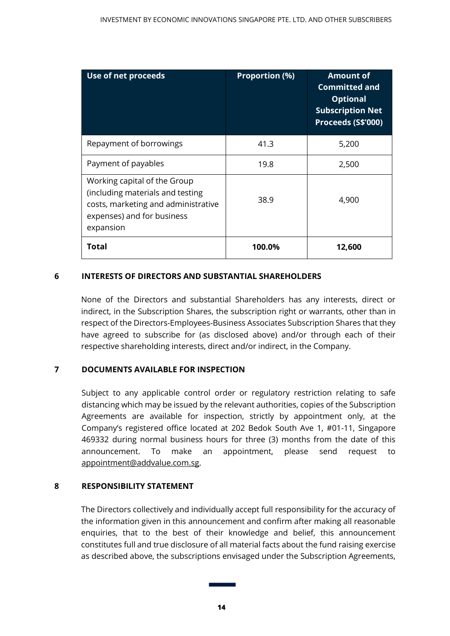| Use of net proceeds                                                                                                                                | <b>Proportion (%)</b> | <b>Amount of</b><br><b>Committed and</b><br><b>Optional</b><br><b>Subscription Net</b><br>Proceeds (S\$'000) |
|----------------------------------------------------------------------------------------------------------------------------------------------------|-----------------------|--------------------------------------------------------------------------------------------------------------|
| Repayment of borrowings                                                                                                                            | 41.3                  | 5,200                                                                                                        |
| Payment of payables                                                                                                                                | 19.8                  | 2,500                                                                                                        |
| Working capital of the Group<br>(including materials and testing<br>costs, marketing and administrative<br>expenses) and for business<br>expansion | 38.9                  | 4,900                                                                                                        |
| Total                                                                                                                                              | 100.0%                | 12,600                                                                                                       |

## **6 INTERESTS OF DIRECTORS AND SUBSTANTIAL SHAREHOLDERS**

None of the Directors and substantial Shareholders has any interests, direct or indirect, in the Subscription Shares, the subscription right or warrants, other than in respect of the Directors-Employees-Business Associates Subscription Shares that they have agreed to subscribe for (as disclosed above) and/or through each of their respective shareholding interests, direct and/or indirect, in the Company.

## **7 DOCUMENTS AVAILABLE FOR INSPECTION**

Subject to any applicable control order or regulatory restriction relating to safe distancing which may be issued by the relevant authorities, copies of the Subscription Agreements are available for inspection, strictly by appointment only, at the Company's registered office located at 202 Bedok South Ave 1, #01-11, Singapore 469332 during normal business hours for three (3) months from the date of this announcement. To make an appointment, please send request to [appointment@addvalue.com.sg.](mailto:appointment@addvalue.com.sg)

#### **8 RESPONSIBILITY STATEMENT**

The Directors collectively and individually accept full responsibility for the accuracy of the information given in this announcement and confirm after making all reasonable enquiries, that to the best of their knowledge and belief, this announcement constitutes full and true disclosure of all material facts about the fund raising exercise as described above, the subscriptions envisaged under the Subscription Agreements,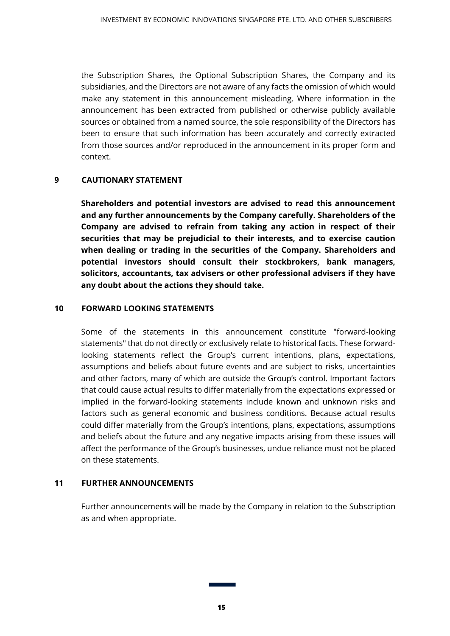the Subscription Shares, the Optional Subscription Shares, the Company and its subsidiaries, and the Directors are not aware of any facts the omission of which would make any statement in this announcement misleading. Where information in the announcement has been extracted from published or otherwise publicly available sources or obtained from a named source, the sole responsibility of the Directors has been to ensure that such information has been accurately and correctly extracted from those sources and/or reproduced in the announcement in its proper form and context.

### **9 CAUTIONARY STATEMENT**

**Shareholders and potential investors are advised to read this announcement and any further announcements by the Company carefully. Shareholders of the Company are advised to refrain from taking any action in respect of their securities that may be prejudicial to their interests, and to exercise caution when dealing or trading in the securities of the Company. Shareholders and potential investors should consult their stockbrokers, bank managers, solicitors, accountants, tax advisers or other professional advisers if they have any doubt about the actions they should take.**

#### **10 FORWARD LOOKING STATEMENTS**

Some of the statements in this announcement constitute "forward-looking statements" that do not directly or exclusively relate to historical facts. These forwardlooking statements reflect the Group's current intentions, plans, expectations, assumptions and beliefs about future events and are subject to risks, uncertainties and other factors, many of which are outside the Group's control. Important factors that could cause actual results to differ materially from the expectations expressed or implied in the forward-looking statements include known and unknown risks and factors such as general economic and business conditions. Because actual results could differ materially from the Group's intentions, plans, expectations, assumptions and beliefs about the future and any negative impacts arising from these issues will affect the performance of the Group's businesses, undue reliance must not be placed on these statements.

#### **11 FURTHER ANNOUNCEMENTS**

Further announcements will be made by the Company in relation to the Subscription as and when appropriate.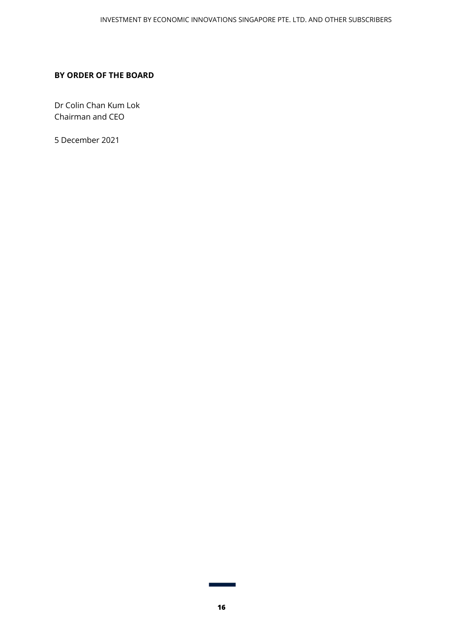#### **BY ORDER OF THE BOARD**

Dr Colin Chan Kum Lok Chairman and CEO

5 December 2021

٦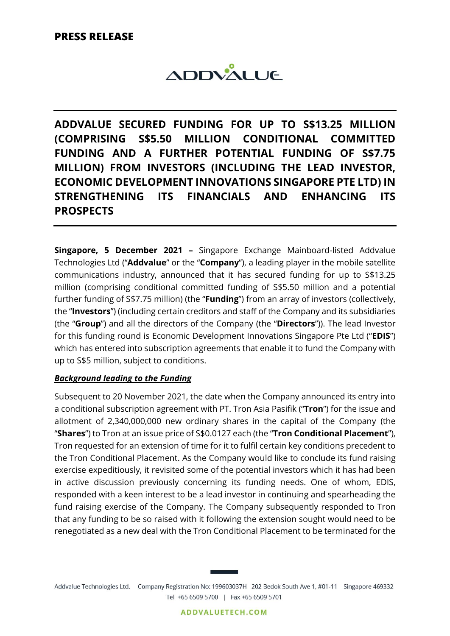

**ADDVALUE SECURED FUNDING FOR UP TO S\$13.25 MILLION (COMPRISING S\$5.50 MILLION CONDITIONAL COMMITTED FUNDING AND A FURTHER POTENTIAL FUNDING OF S\$7.75 MILLION) FROM INVESTORS (INCLUDING THE LEAD INVESTOR, ECONOMIC DEVELOPMENT INNOVATIONS SINGAPORE PTE LTD) IN STRENGTHENING ITS FINANCIALS AND ENHANCING ITS PROSPECTS**

**Singapore, 5 December 2021 –** Singapore Exchange Mainboard-listed Addvalue Technologies Ltd ("**Addvalue**" or the "**Company**"), a leading player in the mobile satellite communications industry, announced that it has secured funding for up to S\$13.25 million (comprising conditional committed funding of S\$5.50 million and a potential further funding of S\$7.75 million) (the "**Funding**") from an array of investors (collectively, the "**Investors**") (including certain creditors and staff of the Company and its subsidiaries (the "**Group**") and all the directors of the Company (the "**Directors**")). The lead Investor for this funding round is Economic Development Innovations Singapore Pte Ltd ("**EDIS**") which has entered into subscription agreements that enable it to fund the Company with up to S\$5 million, subject to conditions.

## *Background leading to the Funding*

Subsequent to 20 November 2021, the date when the Company announced its entry into a conditional subscription agreement with PT. Tron Asia Pasifik ("**Tron**") for the issue and allotment of 2,340,000,000 new ordinary shares in the capital of the Company (the "**Shares**") to Tron at an issue price of S\$0.0127 each (the "**Tron Conditional Placement**"), Tron requested for an extension of time for it to fulfil certain key conditions precedent to the Tron Conditional Placement. As the Company would like to conclude its fund raising exercise expeditiously, it revisited some of the potential investors which it has had been in active discussion previously concerning its funding needs. One of whom, EDIS, responded with a keen interest to be a lead investor in continuing and spearheading the fund raising exercise of the Company. The Company subsequently responded to Tron that any funding to be so raised with it following the extension sought would need to be renegotiated as a new deal with the Tron Conditional Placement to be terminated for the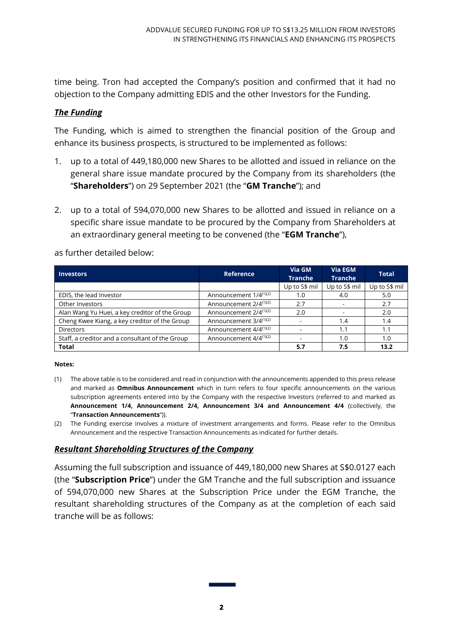time being. Tron had accepted the Company's position and confirmed that it had no objection to the Company admitting EDIS and the other Investors for the Funding.

## *The Funding*

The Funding, which is aimed to strengthen the financial position of the Group and enhance its business prospects, is structured to be implemented as follows:

- 1. up to a total of 449,180,000 new Shares to be allotted and issued in reliance on the general share issue mandate procured by the Company from its shareholders (the "**Shareholders**") on 29 September 2021 (the "**GM Tranche**"); and
- 2. up to a total of 594,070,000 new Shares to be allotted and issued in reliance on a specific share issue mandate to be procured by the Company from Shareholders at an extraordinary general meeting to be convened (the "**EGM Tranche**"),

as further detailed below:

| <b>Investors</b>                                | <b>Reference</b>                   | Via GM<br><b>Tranche</b> | Via EGM<br><b>Tranche</b> | <b>Total</b>  |
|-------------------------------------------------|------------------------------------|--------------------------|---------------------------|---------------|
|                                                 |                                    | Up to S\$ mil            | Up to S\$ mil             | Up to S\$ mil |
| EDIS, the lead Investor                         | Announcement $1/4^{(1)(2)}$        | 1.0                      | 4.0                       | 5.0           |
| Other Investors                                 | Announcement 2/4 <sup>(1)(2)</sup> | 2.7                      |                           | 2.7           |
| Alan Wang Yu Huei, a key creditor of the Group  | Announcement 2/4 <sup>(1)(2)</sup> | 2.0                      |                           | 2.0           |
| Cheng Kwee Kiang, a key creditor of the Group   | Announcement 3/4 <sup>(1)(2)</sup> |                          | 1.4                       | 1.4           |
| <b>Directors</b>                                | Announcement 4/4 <sup>(1)(2)</sup> |                          | 1.1                       | 1.1           |
| Staff, a creditor and a consultant of the Group | Announcement 4/4 <sup>(1)(2)</sup> |                          | 1.0                       | 1.0           |
| <b>Total</b>                                    |                                    | 5.7                      | 7.5                       | 13.2          |

#### **Notes:**

- (1) The above table is to be considered and read in conjunction with the announcements appended to this press release and marked as **Omnibus Announcement** which in turn refers to four specific announcements on the various subscription agreements entered into by the Company with the respective Investors (referred to and marked as **Announcement 1/4, Announcement 2/4, Announcement 3/4 and Announcement 4/4** (collectively, the "**Transaction Announcements**")).
- (2) The Funding exercise involves a mixture of investment arrangements and forms. Please refer to the Omnibus Announcement and the respective Transaction Announcements as indicated for further details.

## *Resultant Shareholding Structures of the Company*

Assuming the full subscription and issuance of 449,180,000 new Shares at S\$0.0127 each (the "**Subscription Price**") under the GM Tranche and the full subscription and issuance of 594,070,000 new Shares at the Subscription Price under the EGM Tranche, the resultant shareholding structures of the Company as at the completion of each said tranche will be as follows: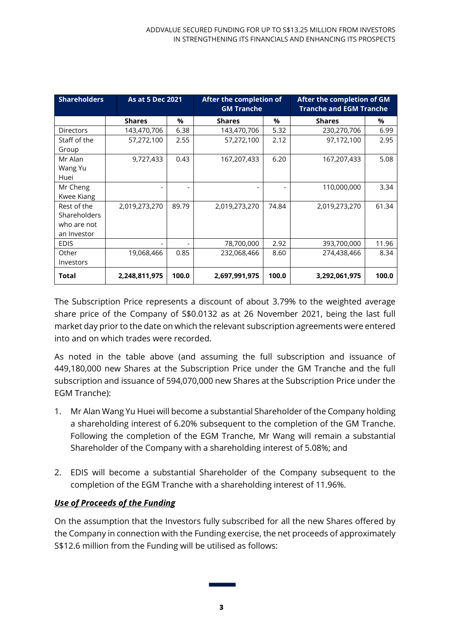| <b>Shareholders</b>                                              | As at 5 Dec 2021 |       | After the completion of<br><b>GM Tranche</b> |       | After the completion of GM<br><b>Tranche and EGM Tranche</b> |       |  |
|------------------------------------------------------------------|------------------|-------|----------------------------------------------|-------|--------------------------------------------------------------|-------|--|
|                                                                  | <b>Shares</b>    | %     | <b>Shares</b>                                | %     | <b>Shares</b>                                                | %     |  |
| <b>Directors</b>                                                 | 143,470,706      | 6.38  | 143,470,706                                  | 5.32  | 230,270,706                                                  | 6.99  |  |
| Staff of the<br>Group                                            | 57,272,100       | 2.55  | 57,272,100                                   | 2.12  | 97,172,100                                                   | 2.95  |  |
| Mr Alan<br>Wang Yu<br>Huei                                       | 9,727,433        | 0.43  | 167,207,433                                  | 6.20  | 167,207,433                                                  | 5.08  |  |
| Mr Cheng<br>Kwee Kiang                                           |                  |       |                                              | ٠     | 110,000,000                                                  | 3.34  |  |
| Rest of the<br><b>Shareholders</b><br>who are not<br>an Investor | 2,019,273,270    | 89.79 | 2,019,273,270                                | 74.84 | 2,019,273,270                                                | 61.34 |  |
| <b>EDIS</b>                                                      |                  |       | 78,700,000                                   | 2.92  | 393,700,000                                                  | 11.96 |  |
| Other<br>Investors                                               | 19,068,466       | 0.85  | 232,068,466                                  | 8.60  | 274,438,466                                                  | 8.34  |  |
| Total                                                            | 2,248,811,975    | 100.0 | 2,697,991,975                                | 100.0 | 3,292,061,975                                                | 100.0 |  |

The Subscription Price represents a discount of about 3.79% to the weighted average share price of the Company of S\$0.0132 as at 26 November 2021, being the last full market day prior to the date on which the relevant subscription agreements were entered into and on which trades were recorded.

As noted in the table above (and assuming the full subscription and issuance of 449,180,000 new Shares at the Subscription Price under the GM Tranche and the full subscription and issuance of 594,070,000 new Shares at the Subscription Price under the EGM Tranche):

- 1. Mr Alan Wang Yu Huei will become a substantial Shareholder of the Company holding a shareholding interest of 6.20% subsequent to the completion of the GM Tranche. Following the completion of the EGM Tranche, Mr Wang will remain a substantial Shareholder of the Company with a shareholding interest of 5.08%; and
- 2. EDIS will become a substantial Shareholder of the Company subsequent to the completion of the EGM Tranche with a shareholding interest of 11.96%.

# *Use of Proceeds of the Funding*

On the assumption that the Investors fully subscribed for all the new Shares offered by the Company in connection with the Funding exercise, the net proceeds of approximately S\$12.6 million from the Funding will be utilised as follows: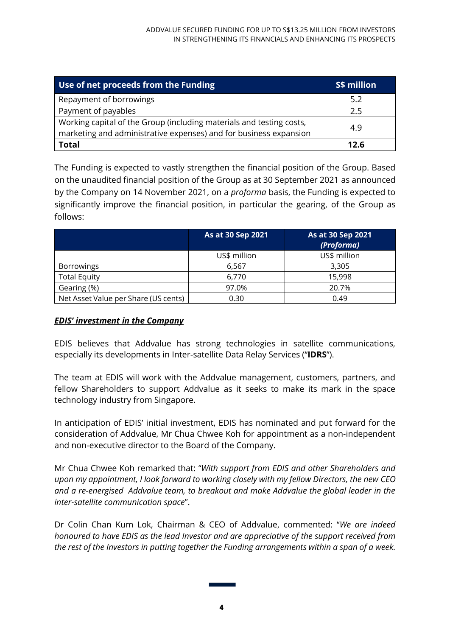| Use of net proceeds from the Funding                                                                                                      | S\$ million |
|-------------------------------------------------------------------------------------------------------------------------------------------|-------------|
| Repayment of borrowings                                                                                                                   | 5.2         |
| Payment of payables                                                                                                                       | 2.5         |
| Working capital of the Group (including materials and testing costs,<br>marketing and administrative expenses) and for business expansion | 4.9         |
| <b>Total</b>                                                                                                                              | 12.6        |

The Funding is expected to vastly strengthen the financial position of the Group. Based on the unaudited financial position of the Group as at 30 September 2021 as announced by the Company on 14 November 2021, on a *proforma* basis, the Funding is expected to significantly improve the financial position, in particular the gearing, of the Group as follows:

|                                      | As at 30 Sep 2021 | As at 30 Sep 2021<br>(Proforma) |
|--------------------------------------|-------------------|---------------------------------|
|                                      | US\$ million      | US\$ million                    |
| <b>Borrowings</b>                    | 6,567             | 3,305                           |
| <b>Total Equity</b>                  | 6,770             | 15,998                          |
| Gearing (%)                          | 97.0%             | 20.7%                           |
| Net Asset Value per Share (US cents) | 0.30              | 0.49                            |

## *EDIS' investment in the Company*

EDIS believes that Addvalue has strong technologies in satellite communications, especially its developments in Inter-satellite Data Relay Services ("**IDRS**").

The team at EDIS will work with the Addvalue management, customers, partners, and fellow Shareholders to support Addvalue as it seeks to make its mark in the space technology industry from Singapore.

In anticipation of EDIS' initial investment, EDIS has nominated and put forward for the consideration of Addvalue, Mr Chua Chwee Koh for appointment as a non-independent and non-executive director to the Board of the Company.

Mr Chua Chwee Koh remarked that: "*With support from EDIS and other Shareholders and upon my appointment, I look forward to working closely with my fellow Directors, the new CEO and a re-energised Addvalue team, to breakout and make Addvalue the global leader in the inter-satellite communication space*".

Dr Colin Chan Kum Lok, Chairman & CEO of Addvalue, commented: "*We are indeed honoured to have EDIS as the lead Investor and are appreciative of the support received from the rest of the Investors in putting together the Funding arrangements within a span of a week.*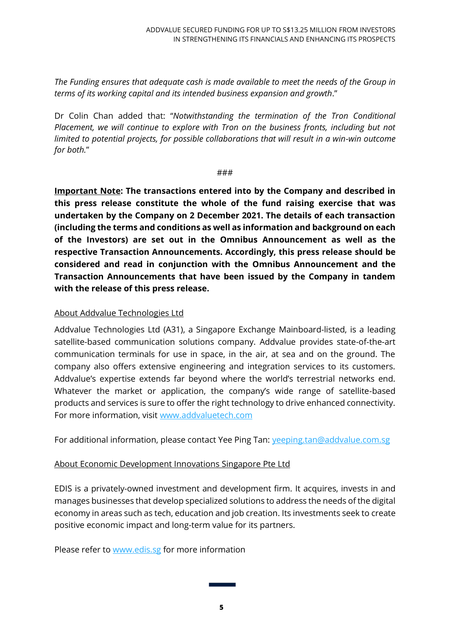*The Funding ensures that adequate cash is made available to meet the needs of the Group in terms of its working capital and its intended business expansion and growth*."

Dr Colin Chan added that: "*Notwithstanding the termination of the Tron Conditional Placement, we will continue to explore with Tron on the business fronts, including but not limited to potential projects, for possible collaborations that will result in a win-win outcome for both.*"

###

**Important Note: The transactions entered into by the Company and described in this press release constitute the whole of the fund raising exercise that was undertaken by the Company on 2 December 2021. The details of each transaction (including the terms and conditions as well as information and background on each of the Investors) are set out in the Omnibus Announcement as well as the respective Transaction Announcements. Accordingly, this press release should be considered and read in conjunction with the Omnibus Announcement and the Transaction Announcements that have been issued by the Company in tandem with the release of this press release.**

## About Addvalue Technologies Ltd

Addvalue Technologies Ltd (A31), a Singapore Exchange Mainboard-listed, is a leading satellite-based communication solutions company. Addvalue provides state-of-the-art communication terminals for use in space, in the air, at sea and on the ground. The company also offers extensive engineering and integration services to its customers. Addvalue's expertise extends far beyond where the world's terrestrial networks end. Whatever the market or application, the company's wide range of satellite-based products and services is sure to offer the right technology to drive enhanced connectivity. For more information, visit www.addvaluetech.com

For additional information, please contact Yee Ping Tan: [yeeping.tan@addvalue.com.sg](mailto:yeeping.tan@addvalue.com.sg)

# About Economic Development Innovations Singapore Pte Ltd

EDIS is a privately-owned investment and development firm. It acquires, invests in and manages businesses that develop specialized solutions to address the needs of the digital economy in areas such as tech, education and job creation. Its investments seek to create positive economic impact and long-term value for its partners.

Please refer to [www.edis.sg](http://www.edis.sg/) for more information